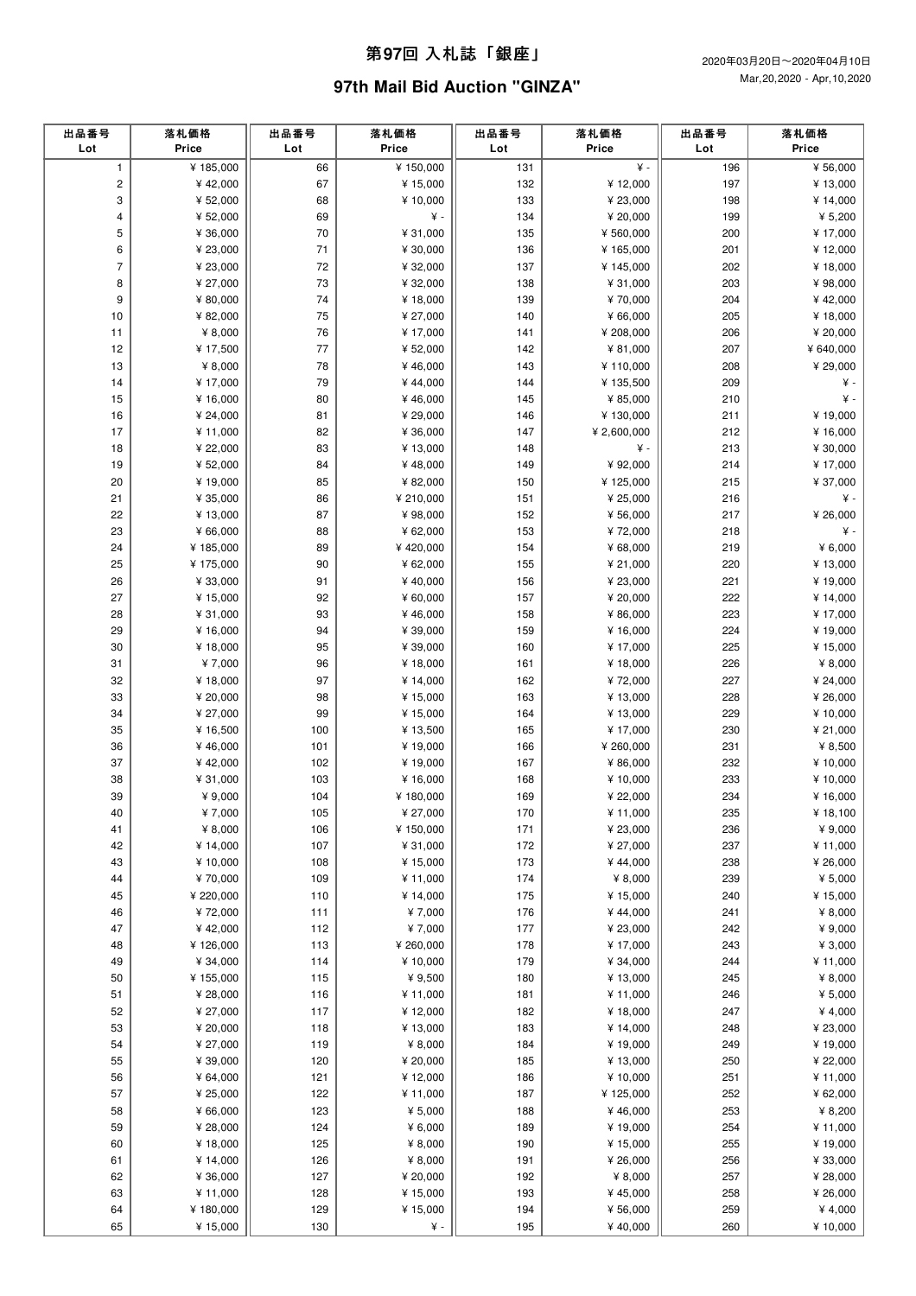## 第**97**回 ⼊札誌「銀座」

# **97th Mail Bid Auction "GINZA"**

| 出品番号<br>Lot    | 落札価格<br>Price | 出品番号<br>Lot | 落札価格<br>Price   | 出品番号<br>Lot | 落札価格<br>Price      | 出品番号<br>Lot | 落札価格<br>Price |
|----------------|---------------|-------------|-----------------|-------------|--------------------|-------------|---------------|
| $\mathbf{1}$   | ¥185,000      | 66          | ¥ 150,000       | 131         | ¥ -                | 196         | ¥ 56,000      |
| $\overline{c}$ | ¥42,000       | 67          | ¥ 15,000        | 132         | ¥12,000            | 197         | ¥ 13,000      |
| 3              | ¥ 52,000      | 68          | ¥10,000         | 133         | ¥ 23,000           | 198         | ¥ 14,000      |
| 4              | ¥ 52,000      | 69          | $\yen$ -        | 134         | ¥ 20,000           | 199         | ¥ $5,200$     |
| 5              | ¥ 36,000      | 70          | ¥ 31,000        | 135         | ¥ 560,000          | 200         | ¥17,000       |
| 6              | ¥ 23,000      | 71          | ¥ 30,000        | 136         | ¥165,000           | 201         | ¥12,000       |
| $\overline{7}$ | ¥ 23,000      | 72          | ¥ 32,000        | 137         | ¥145,000           | 202         | ¥ 18,000      |
| 8              | ¥ 27,000      | 73          | ¥ 32,000        | 138         | ¥ 31,000           | 203         | ¥98,000       |
| 9              | ¥ 80,000      | 74          | ¥ 18,000        | 139         | ¥70,000            | 204         | ¥42,000       |
| 10             | ¥ 82,000      | 75          | ¥ 27,000        | 140         | ¥ 66,000           | 205         | ¥ 18,000      |
| 11             | ¥ $8,000$     | 76          | ¥ 17,000        | 141         | ¥ 208,000          | 206         | ¥ 20,000      |
| 12             | ¥ 17,500      | 77          | ¥ 52,000        | 142         | ¥ 81,000           | 207         | ¥ 640,000     |
| 13             | ¥ $8,000$     | 78          | ¥46,000         | 143         | ¥110,000           | 208         | ¥ 29,000      |
| 14             | ¥ 17,000      | 79          | ¥44,000         | 144         | ¥ 135,500          | 209         | ¥ -           |
| 15             | ¥ 16,000      | 80          | ¥46,000         | 145         | ¥ 85,000           | 210         | ¥ -           |
| 16             | ¥ 24,000      | 81          | ¥ 29,000        | 146         | ¥ 130,000          | 211         | ¥ 19,000      |
| 17             | ¥ 11,000      | 82          | ¥ 36,000        | 147         | ¥ 2,600,000        | 212         | ¥ 16,000      |
| 18             | ¥ 22,000      | 83          | ¥ 13,000        | 148         | ¥ -                | 213         | ¥ 30,000      |
| 19             | ¥ 52,000      | 84          | ¥48,000         | 149         | ¥ 92,000           | 214         | ¥ 17,000      |
| 20             | ¥19,000       | 85          | ¥ 82,000        | 150         | ¥125,000           | 215         | ¥ 37,000      |
| 21             | ¥ 35,000      | 86          | ¥ 210,000       | 151         | ¥ 25,000           | 216         | ¥ -           |
| 22             | ¥ 13,000      | 87          | ¥98,000         | 152         | ¥ 56,000           | 217         | ¥ 26,000      |
| 23             | ¥ 66,000      | 88          | ¥ 62,000        | 153         | ¥72,000            | 218         | ¥ -           |
| 24             | ¥185,000      | 89          | ¥420,000        | 154         | ¥ 68,000           | 219         | ¥ $6,000$     |
| 25             | ¥175,000      | 90          | ¥ 62,000        | 155         | ¥ 21,000           | 220         | ¥ 13,000      |
| 26             | ¥ 33,000      | 91          | ¥40,000         | 156         | ¥ 23,000           | 221         | ¥ 19,000      |
| 27             | ¥15,000       | 92          | ¥ 60,000        | 157         | ¥ 20,000           | 222         | ¥ 14,000      |
| 28             | ¥ 31,000      | 93          | ¥46,000         | 158         | ¥ 86,000           | 223         | ¥ 17,000      |
| 29             | ¥ 16,000      | 94          | ¥ 39,000        | 159         | ¥ 16,000           | 224         | ¥ 19,000      |
| 30             | ¥18,000       | 95          | ¥ 39,000        | 160         | ¥ 17,000           | 225         | ¥ 15,000      |
| 31             | ¥7,000        | 96          | ¥18,000         | 161         | ¥18,000            | 226         | ¥ $8,000$     |
| 32             | ¥18,000       | 97          | ¥ 14,000        | 162         | ¥72,000            | 227         | ¥ 24,000      |
| 33             | ¥ 20,000      | 98          | ¥ 15,000        | 163         | ¥ 13,000           | 228         | ¥ 26,000      |
| 34             | ¥ 27,000      | 99          | ¥ 15,000        | 164         | ¥ 13,000           | 229         | ¥ 10,000      |
| 35             | ¥ 16,500      | 100         | ¥ 13,500        | 165         | ¥ 17,000           | 230         | ¥ 21,000      |
| 36             | ¥46,000       | 101         | ¥19,000         | 166         | ¥ 260,000          | 231         | ¥ 8,500       |
| 37             | ¥42,000       | 102         | ¥ 19,000        | 167         | ¥ 86,000           | 232         | ¥10,000       |
| 38             | ¥ 31,000      | 103         | ¥ 16,000        | 168         | ¥ 10,000           | 233         | ¥10,000       |
| 39             | ¥ 9,000       | 104         | ¥ 180,000       | 169         | ¥ 22,000           | 234         | ¥ 16,000      |
| 40             | ¥7,000        | 105         | ¥ 27,000        | 170         | ¥ 11,000           | 235         | ¥18,100       |
| 41             | ¥ $8,000$     | 106         | ¥ 150,000       | 171         | ¥ 23,000           | 236         | ¥ 9,000       |
| 42             | ¥ 14,000      | 107         | ¥ 31,000        | 172         | ¥ 27,000           | 237         | ¥ 11,000      |
| 43             | ¥ 10,000      | 108         | ¥ 15,000        | 173         | ¥44,000            | 238         | ¥ 26,000      |
| 44             | ¥70,000       | 109         | ¥ 11,000        | 174         | ¥ 8,000            | 239         | ¥ 5,000       |
| 45             | ¥ 220,000     | 110         | ¥ 14,000        | 175         | ¥ 15,000           | 240         | ¥ 15,000      |
| 46             | ¥72,000       | 111         | ¥7,000          | 176         | ¥44,000            | 241         | ¥ 8,000       |
| 47             | ¥42,000       | 112         | ¥7,000          | 177         | ¥ 23,000           | 242         | ¥ 9,000       |
| 48             | ¥126,000      | 113         | ¥ 260,000       | 178         | ¥ 17,000           | 243         | ¥ 3,000       |
| 49             | ¥ 34,000      | 114         | ¥ 10,000        | 179         | ¥ 34,000           | 244         | ¥ 11,000      |
| 50             | ¥155,000      | 115         | ¥ 9,500         | 180         | ¥ 13,000           | 245         | ¥ 8,000       |
| 51             | ¥ 28,000      | 116         | ¥ 11,000        | 181         | ¥ 11,000           | 246         | ¥ $5,000$     |
| 52             | ¥ 27,000      | 117         | ¥ 12,000        | 182         | ¥ 18,000           | 247         | ¥4,000        |
| 53             | ¥ 20,000      | 118         | ¥ 13,000        | 183         | ¥ 14,000           | 248         | ¥ 23,000      |
| 54             | ¥ 27,000      | 119         | ¥ 8,000         | 184         | ¥ 19,000           | 249         | ¥ 19,000      |
| 55             | ¥ 39,000      | 120         | ¥ 20,000        | 185         | ¥ 13,000           | 250         | ¥ 22,000      |
| 56             | ¥ 64,000      | 121         | ¥ 12,000        | 186         | ¥ 10,000           | 251         | ¥ 11,000      |
| 57             | ¥ 25,000      | 122         | ¥11,000         | 187         | ¥125,000           | 252         | ¥ 62,000      |
| 58<br>59       | ¥ 66,000      | 123<br>124  | ¥ 5,000         | 188<br>189  | ¥46,000<br>¥19,000 | 253<br>254  | ¥ 8,200       |
|                | ¥ 28,000      |             | ¥ 6,000         |             |                    |             | ¥ 11,000      |
| 60             | ¥18,000       | 125         | ¥ 8,000         | 190         | ¥15,000            | 255         | ¥ 19,000      |
| 61             | ¥ 14,000      | 126         | ¥ 8,000         | 191         | ¥ 26,000           | 256         | ¥ 33,000      |
| 62             | ¥ 36,000      | 127         | ¥ 20,000        | 192         | ¥ 8,000            | 257         | ¥ 28,000      |
| 63             | ¥ 11,000      | 128         | ¥ 15,000        | 193         | ¥45,000            | 258         | ¥ 26,000      |
| 64<br>65       | ¥180,000      | 129<br>130  | ¥ 15,000<br>¥ - | 194<br>195  | ¥ 56,000           | 259<br>260  | ¥ 4,000       |
|                | ¥ 15,000      |             |                 |             | ¥40,000            |             | ¥ 10,000      |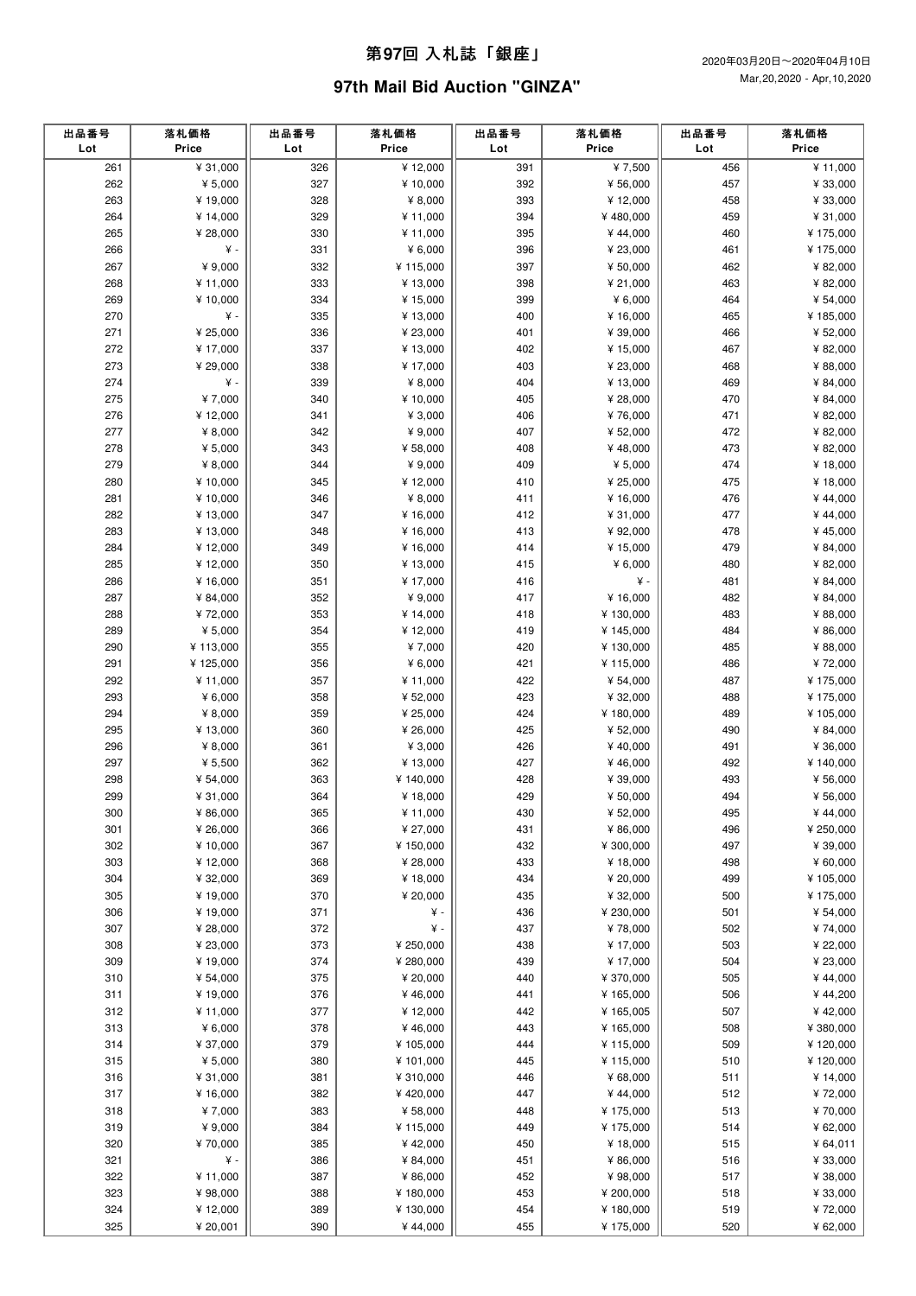## 第**97**回 ⼊札誌「銀座」

# **97th Mail Bid Auction "GINZA"**

| 出品番号<br>Lot | 落札価格<br>Price      | 出品番号<br>Lot | 落札価格<br>Price   | 出品番号<br>Lot | 落札価格<br>Price         | 出品番号<br>Lot | 落札価格<br>Price       |
|-------------|--------------------|-------------|-----------------|-------------|-----------------------|-------------|---------------------|
| 261         | ¥ 31,000           | 326         | ¥12,000         | 391         | ¥7,500                | 456         | ¥11,000             |
| 262         | ¥ $5,000$          | 327         | ¥ 10,000        | 392         | ¥ 56,000              | 457         | ¥ 33,000            |
| 263         | ¥19,000            | 328         | ¥ 8,000         | 393         | ¥12,000               | 458         | ¥ 33,000            |
| 264         | ¥ 14,000           | 329         | ¥11,000         | 394         | ¥480,000              | 459         | ¥ 31,000            |
| 265         | ¥ 28,000           | 330         | ¥11,000         | 395         | ¥44,000               | 460         | ¥ 175,000           |
| 266         | ¥ -                | 331         | ¥ 6,000         | 396         | ¥ 23,000              | 461         | ¥ 175,000           |
| 267         | ¥ 9,000            | 332         | ¥ 115,000       | 397         | ¥ 50,000              | 462         | ¥ 82,000            |
| 268         | ¥ 11,000           | 333         | ¥ 13,000        | 398         | ¥ 21,000              | 463         | ¥ 82,000            |
| 269         | ¥ 10,000           | 334         | ¥ 15,000        | 399         | ¥ $6,000$             | 464         | ¥ 54,000            |
| 270         | ¥ -                | 335         | ¥ 13,000        | 400         | ¥ 16,000              | 465         | ¥185,000            |
| 271         | ¥ 25,000           | 336         | ¥ 23,000        | 401         | ¥ 39,000              | 466         | ¥ 52,000            |
| 272         | ¥ 17,000           | 337         | ¥13,000         | 402         | ¥ 15,000              | 467         | ¥ 82,000            |
| 273         | ¥ 29,000           | 338         | ¥17,000         | 403         | ¥ 23,000              | 468         | ¥ 88,000            |
| 274         | ¥ -                | 339         | ¥ 8,000         | 404         | ¥ 13,000              | 469         | ¥ 84,000            |
| 275         | ¥7,000             | 340         | ¥10,000         | 405         | ¥ 28,000              | 470         | ¥ 84,000            |
| 276         | ¥12,000            | 341         | ¥ 3,000         | 406         | ¥76,000               | 471         | ¥ 82,000            |
| 277         | ¥ 8,000            | 342         | ¥ 9,000         | 407         | ¥ 52,000              | 472         | ¥ 82,000            |
| 278         | ¥ $5,000$          | 343         | ¥ 58,000        | 408         | ¥48,000               | 473         | ¥ 82,000            |
| 279         | ¥ $8,000$          | 344         | ¥ 9,000         | 409         | ¥ $5,000$             | 474         | ¥18,000             |
| 280         | ¥ 10,000           | 345         | ¥12,000         | 410         | ¥ 25,000              | 475         | ¥18,000             |
| 281         | ¥10,000            | 346         | ¥ 8,000         | 411         | ¥16,000               | 476         | ¥44,000             |
| 282         | ¥13,000            | 347         | ¥ 16,000        | 412         | ¥ 31,000              | 477         | ¥44,000             |
| 283         | ¥ 13,000           | 348         | ¥ 16,000        | 413         | ¥ 92,000              | 478         | ¥45,000             |
| 284         | ¥12,000            | 349         | ¥ 16,000        | 414         | ¥ 15,000              | 479         | ¥ 84,000            |
| 285         | ¥12,000            | 350         | ¥ 13,000        | 415         | ¥ $6,000$             | 480         | ¥ 82,000            |
| 286         | ¥ 16,000           | 351         | ¥17,000         | 416         | ¥ -                   | 481         | ¥ 84,000            |
| 287         | ¥ 84,000           | 352         | ¥ 9,000         | 417         | ¥16,000               | 482         | ¥ 84,000            |
| 288         | ¥72,000            | 353         | ¥ 14,000        | 418         | ¥130,000              | 483         | ¥ 88,000            |
| 289         | ¥ $5,000$          | 354         | ¥12,000         | 419         | ¥ 145,000             | 484         | ¥ 86,000            |
| 290         | ¥113,000           | 355         | ¥7,000          | 420         | ¥ 130,000             | 485         | ¥ 88,000            |
| 291         | ¥125,000           | 356         | ¥ 6,000         | 421         | ¥115,000              | 486         | ¥72,000             |
| 292         | ¥11,000            | 357         | ¥11,000         | 422         | ¥ 54,000              | 487         | ¥ 175,000           |
| 293         | ¥ $6,000$          | 358         | ¥ 52,000        | 423         | ¥ 32,000              | 488         | ¥ 175,000           |
| 294         | ¥ $8,000$          | 359         | ¥ 25,000        | 424         | ¥180,000              | 489         | ¥ 105,000           |
| 295         | ¥ 13,000           | 360         | ¥ 26,000        | 425         | ¥ 52,000              | 490         | ¥ 84,000            |
| 296         | ¥ $8,000$          | 361         | ¥ 3,000         | 426         | ¥40,000               | 491         | ¥ 36,000            |
| 297         | ¥ $5,500$          | 362         | ¥ 13,000        | 427         | ¥46,000               | 492         | ¥ 140,000           |
| 298         | ¥ 54,000           | 363         | ¥ 140,000       | 428         | ¥ 39,000              | 493         | ¥ 56,000            |
| 299         | ¥ 31,000           | 364         | ¥18,000         | 429         | ¥ 50,000              | 494         | ¥ 56,000            |
| 300         | ¥ 86,000           | 365         | ¥ 11,000        | 430         | ¥ 52,000              | 495         | ¥44,000             |
| 301         | ¥ 26,000           | 366         | ¥ 27,000        | 431         | ¥ 86,000              | 496         | ¥ 250,000           |
| 302         | ¥ 10,000           | 367         | ¥ 150,000       | 432         | ¥ 300,000             | 497         | ¥ 39,000            |
| 303         | ¥ 12,000           | 368         | ¥ 28,000        | 433         | ¥ 18,000              | 498         | ¥ 60,000            |
| 304         | ¥ 32,000           | 369         | ¥ 18,000        | 434         | ¥ 20,000              | 499         | ¥ 105,000           |
| 305<br>306  | ¥19,000<br>¥19,000 | 370<br>371  | ¥ 20,000<br>¥ - | 435<br>436  | ¥ 32,000<br>¥ 230,000 | 500<br>501  | ¥ 175,000           |
| 307         | ¥ 28,000           | 372         | ¥ -             | 437         | ¥78,000               | 502         | ¥ 54,000<br>¥74,000 |
| 308         | ¥ 23,000           | 373         | ¥ 250,000       | 438         | ¥ 17,000              | 503         | ¥ 22,000            |
| 309         | ¥ 19,000           | 374         | ¥ 280,000       | 439         | ¥ 17,000              | 504         | ¥ 23,000            |
| 310         | ¥ 54,000           | 375         | ¥ 20,000        | 440         | ¥ 370,000             | 505         | ¥44,000             |
| 311         | ¥19,000            | 376         | ¥46,000         | 441         | ¥165,000              | 506         | ¥44,200             |
| 312         | ¥ 11,000           | 377         | ¥12,000         | 442         | ¥ 165,005             | 507         | ¥42,000             |
| 313         | ¥ 6,000            | 378         | ¥46,000         | 443         | ¥ 165,000             | 508         | ¥ 380,000           |
| 314         | ¥ 37,000           | 379         | ¥ 105,000       | 444         | ¥115,000              | 509         | ¥120,000            |
| 315         | ¥ $5,000$          | 380         | ¥ 101,000       | 445         | ¥115,000              | 510         | ¥120,000            |
| 316         | ¥ 31,000           | 381         | ¥ 310,000       | 446         | ¥ 68,000              | 511         | ¥ 14,000            |
| 317         | ¥16,000            | 382         | ¥420,000        | 447         | ¥44,000               | 512         | ¥72,000             |
| 318         | ¥7,000             | 383         | ¥ 58,000        | 448         | ¥175,000              | 513         | ¥70,000             |
| 319         | ¥ 9,000            | 384         | ¥ 115,000       | 449         | ¥175,000              | 514         | ¥ 62,000            |
| 320         | ¥70,000            | 385         | ¥42,000         | 450         | ¥ 18,000              | 515         | ¥ 64,011            |
| 321         | ¥ -                | 386         | ¥ 84,000        | 451         | ¥ 86,000              | 516         | ¥ 33,000            |
| 322         | ¥ 11,000           | 387         | ¥ 86,000        | 452         | ¥ 98,000              | 517         | ¥ 38,000            |
| 323         | ¥ 98,000           | 388         | ¥ 180,000       | 453         | ¥ 200,000             | 518         | ¥ 33,000            |
| 324         | ¥12,000            | 389         | ¥ 130,000       | 454         | ¥180,000              | 519         | ¥72,000             |
| 325         | ¥ 20,001           | 390         | ¥44,000         | 455         | ¥175,000              | 520         | ¥ 62,000            |